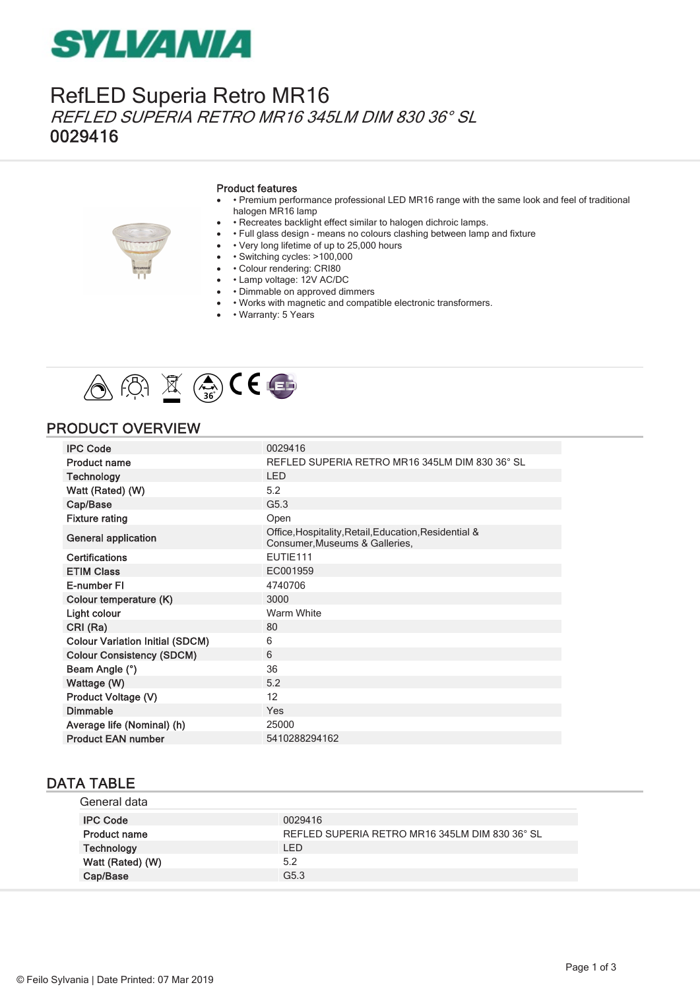## **SYLVANIA**

### RefLED Superia Retro MR16 REFLED SUPERIA RETRO MR16 345LM DIM 830 36° SL 0029416

#### Product features

- · Premium performance professional LED MR16 range with the same look and feel of traditional halogen MR16 lamp
- · Recreates backlight effect similar to halogen dichroic lamps.
- • Full glass design means no colours clashing between lamp and fixture
- • Very long lifetime of up to 25,000 hours
- · Switching cycles: >100,000
- • Colour rendering: CRI80
- • Lamp voltage: 12V AC/DC
- · Dimmable on approved dimmers
- · Works with magnetic and compatible electronic transformers.
- • Warranty: 5 Years



### PRODUCT OVERVIEW

| <b>IPC Code</b>                        | 0029416                                                                                 |
|----------------------------------------|-----------------------------------------------------------------------------------------|
| <b>Product name</b>                    | REFLED SUPERIA RETRO MR16 345LM DIM 830 36° SL                                          |
| <b>Technology</b>                      | <b>LED</b>                                                                              |
| Watt (Rated) (W)                       | 5.2                                                                                     |
| Cap/Base                               | G <sub>5.3</sub>                                                                        |
| <b>Fixture rating</b>                  | Open                                                                                    |
| <b>General application</b>             | Office, Hospitality, Retail, Education, Residential &<br>Consumer, Museums & Galleries, |
| <b>Certifications</b>                  | EUTIE111                                                                                |
| <b>ETIM Class</b>                      | EC001959                                                                                |
| E-number FI                            | 4740706                                                                                 |
| Colour temperature (K)                 | 3000                                                                                    |
| Light colour                           | Warm White                                                                              |
| CRI (Ra)                               | 80                                                                                      |
| <b>Colour Variation Initial (SDCM)</b> | 6                                                                                       |
| <b>Colour Consistency (SDCM)</b>       | 6                                                                                       |
| Beam Angle (°)                         | 36                                                                                      |
| Wattage (W)                            | 5.2                                                                                     |
| Product Voltage (V)                    | 12                                                                                      |
| <b>Dimmable</b>                        | Yes                                                                                     |
| Average life (Nominal) (h)             | 25000                                                                                   |
| <b>Product EAN number</b>              | 5410288294162                                                                           |

#### DATA TABLE

| General data        |                                                |
|---------------------|------------------------------------------------|
| <b>IPC Code</b>     | 0029416                                        |
| <b>Product name</b> | REFLED SUPERIA RETRO MR16 345LM DIM 830 36° SL |
| Technology          | LED                                            |
| Watt (Rated) (W)    | 5.2                                            |
| Cap/Base            | G <sub>5.3</sub>                               |
|                     |                                                |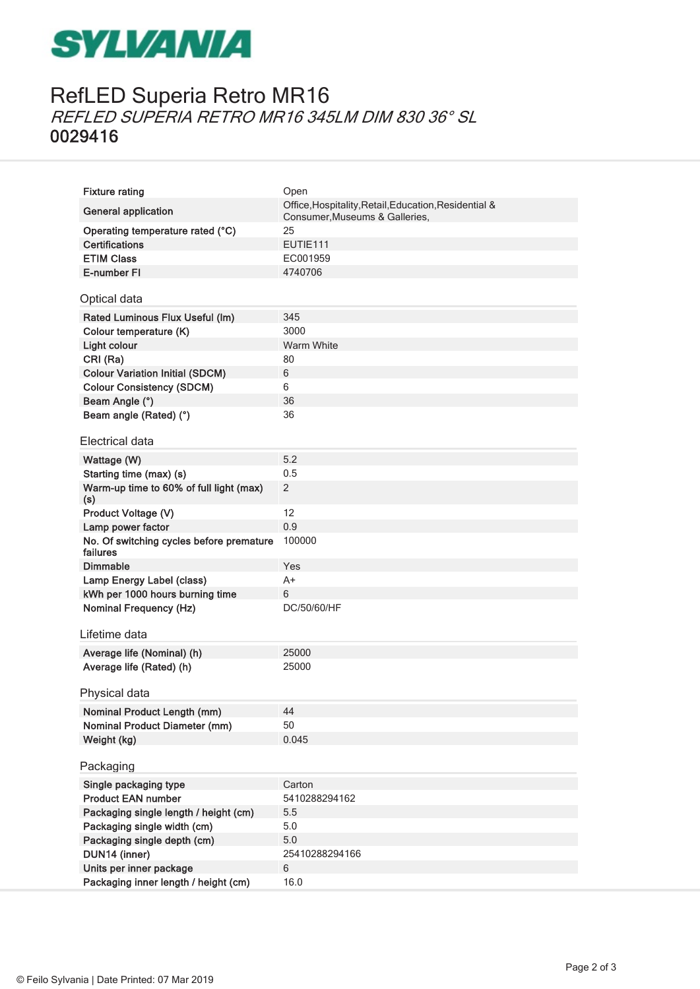## **SYLVANIA**

## RefLED Superia Retro MR16 REFLED SUPERIA RETRO MR16 345LM DIM 830 36° SL 0029416

| <b>Fixture rating</b>                                | Open                                                                                    |
|------------------------------------------------------|-----------------------------------------------------------------------------------------|
| <b>General application</b>                           | Office, Hospitality, Retail, Education, Residential &<br>Consumer, Museums & Galleries, |
| Operating temperature rated (°C)                     | 25                                                                                      |
| <b>Certifications</b>                                | EUTIE111                                                                                |
| <b>ETIM Class</b>                                    | EC001959                                                                                |
| E-number FI                                          | 4740706                                                                                 |
| Optical data                                         |                                                                                         |
| Rated Luminous Flux Useful (Im)                      | 345                                                                                     |
| Colour temperature (K)                               | 3000                                                                                    |
| Light colour                                         | <b>Warm White</b>                                                                       |
| CRI (Ra)                                             | 80                                                                                      |
| <b>Colour Variation Initial (SDCM)</b>               | 6                                                                                       |
| <b>Colour Consistency (SDCM)</b>                     | 6                                                                                       |
| Beam Angle (°)                                       | 36                                                                                      |
| Beam angle (Rated) (°)                               | 36                                                                                      |
| Electrical data                                      |                                                                                         |
| Wattage (W)                                          | 5.2                                                                                     |
| Starting time (max) (s)                              | 0.5                                                                                     |
| Warm-up time to 60% of full light (max)<br>(s)       | 2                                                                                       |
| Product Voltage (V)                                  | 12                                                                                      |
| Lamp power factor                                    | 0.9                                                                                     |
| No. Of switching cycles before premature<br>failures | 100000                                                                                  |
| <b>Dimmable</b>                                      | Yes                                                                                     |
| Lamp Energy Label (class)                            | $A+$                                                                                    |
| kWh per 1000 hours burning time                      | 6                                                                                       |
| <b>Nominal Frequency (Hz)</b>                        | DC/50/60/HF                                                                             |
| Lifetime data                                        |                                                                                         |
| Average life (Nominal) (h)                           | 25000                                                                                   |
| Average life (Rated) (h)                             | 25000                                                                                   |
|                                                      |                                                                                         |
| Physical data                                        |                                                                                         |
| <b>Nominal Product Length (mm)</b>                   | 44                                                                                      |
| <b>Nominal Product Diameter (mm)</b>                 | 50                                                                                      |
| Weight (kg)                                          | 0.045                                                                                   |
| Packaging                                            |                                                                                         |
| Single packaging type                                | Carton                                                                                  |
| <b>Product EAN number</b>                            | 5410288294162                                                                           |
| Packaging single length / height (cm)                | 5.5                                                                                     |
| Packaging single width (cm)                          | 5.0                                                                                     |
| Packaging single depth (cm)                          | 5.0                                                                                     |
| DUN14 (inner)                                        | 25410288294166                                                                          |
| Units per inner package                              | 6                                                                                       |
| Packaging inner length / height (cm)                 | 16.0                                                                                    |